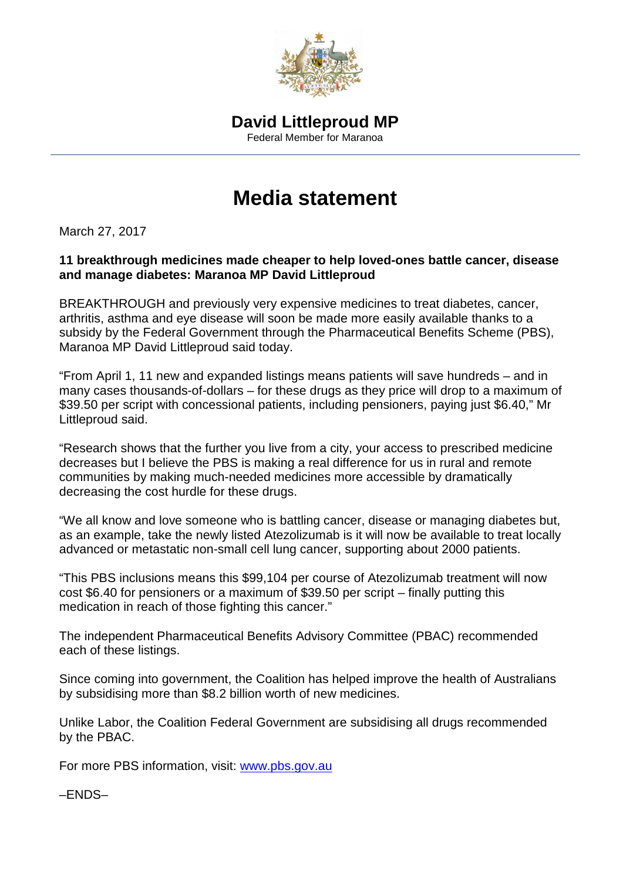

# **Media statement**

March 27, 2017

#### **11 breakthrough medicines made cheaper to help loved-ones battle cancer, disease and manage diabetes: Maranoa MP David Littleproud**

BREAKTHROUGH and previously very expensive medicines to treat diabetes, cancer, arthritis, asthma and eye disease will soon be made more easily available thanks to a subsidy by the Federal Government through the Pharmaceutical Benefits Scheme (PBS), Maranoa MP David Littleproud said today.

"From April 1, 11 new and expanded listings means patients will save hundreds – and in many cases thousands-of-dollars – for these drugs as they price will drop to a maximum of \$39.50 per script with concessional patients, including pensioners, paying just \$6.40," Mr Littleproud said.

"Research shows that the further you live from a city, your access to prescribed medicine decreases but I believe the PBS is making a real difference for us in rural and remote communities by making much-needed medicines more accessible by dramatically decreasing the cost hurdle for these drugs.

"We all know and love someone who is battling cancer, disease or managing diabetes but, as an example, take the newly listed Atezolizumab is it will now be available to treat locally advanced or metastatic non-small cell lung cancer, supporting about 2000 patients.

"This PBS inclusions means this \$99,104 per course of Atezolizumab treatment will now cost \$6.40 for pensioners or a maximum of \$39.50 per script – finally putting this medication in reach of those fighting this cancer."

The independent Pharmaceutical Benefits Advisory Committee (PBAC) recommended each of these listings.

Since coming into government, the Coalition has helped improve the health of Australians by subsidising more than \$8.2 billion worth of new medicines.

Unlike Labor, the Coalition Federal Government are subsidising all drugs recommended by the PBAC.

For more PBS information, visit: [www.pbs.gov.au](http://www.pbs.gov.au/)

–ENDS–